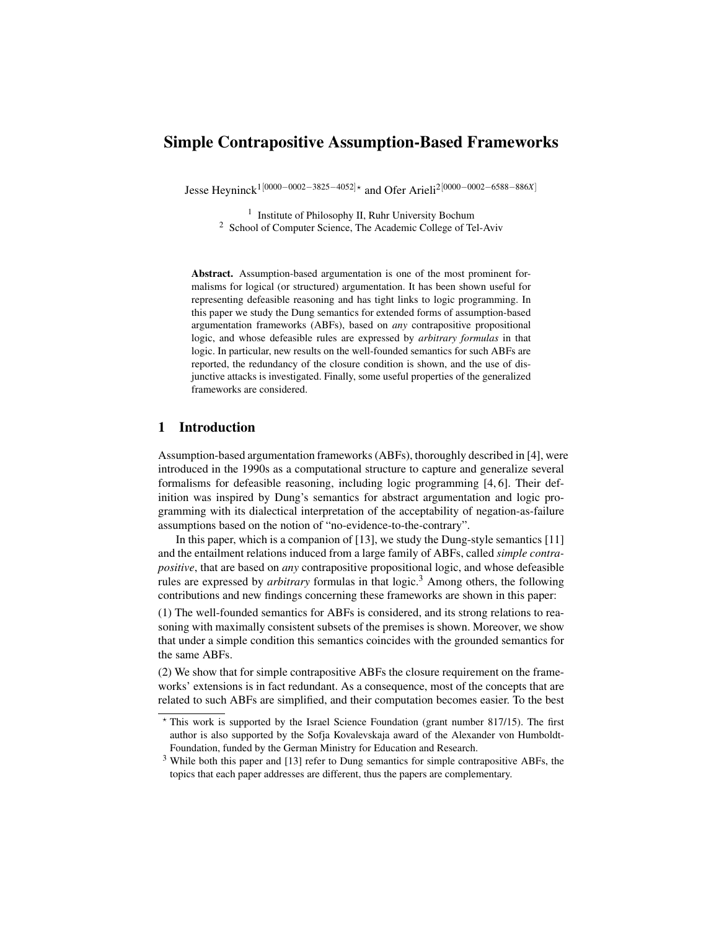# Simple Contrapositive Assumption-Based Frameworks

Jesse Heyninck1[0000−0002−3825−4052]? and Ofer Arieli2[0000−0002−6588−886*X*]

<sup>1</sup> Institute of Philosophy II, Ruhr University Bochum <sup>2</sup> School of Computer Science, The Academic College of Tel-Aviv

Abstract. Assumption-based argumentation is one of the most prominent formalisms for logical (or structured) argumentation. It has been shown useful for representing defeasible reasoning and has tight links to logic programming. In this paper we study the Dung semantics for extended forms of assumption-based argumentation frameworks (ABFs), based on *any* contrapositive propositional logic, and whose defeasible rules are expressed by *arbitrary formulas* in that logic. In particular, new results on the well-founded semantics for such ABFs are reported, the redundancy of the closure condition is shown, and the use of disjunctive attacks is investigated. Finally, some useful properties of the generalized frameworks are considered.

# 1 Introduction

Assumption-based argumentation frameworks (ABFs), thoroughly described in [4], were introduced in the 1990s as a computational structure to capture and generalize several formalisms for defeasible reasoning, including logic programming [4, 6]. Their definition was inspired by Dung's semantics for abstract argumentation and logic programming with its dialectical interpretation of the acceptability of negation-as-failure assumptions based on the notion of "no-evidence-to-the-contrary".

In this paper, which is a companion of [13], we study the Dung-style semantics [11] and the entailment relations induced from a large family of ABFs, called *simple contrapositive*, that are based on *any* contrapositive propositional logic, and whose defeasible rules are expressed by *arbitrary* formulas in that logic.<sup>3</sup> Among others, the following contributions and new findings concerning these frameworks are shown in this paper:

(1) The well-founded semantics for ABFs is considered, and its strong relations to reasoning with maximally consistent subsets of the premises is shown. Moreover, we show that under a simple condition this semantics coincides with the grounded semantics for the same ABFs.

(2) We show that for simple contrapositive ABFs the closure requirement on the frameworks' extensions is in fact redundant. As a consequence, most of the concepts that are related to such ABFs are simplified, and their computation becomes easier. To the best

<sup>?</sup> This work is supported by the Israel Science Foundation (grant number 817/15). The first author is also supported by the Sofja Kovalevskaja award of the Alexander von Humboldt-Foundation, funded by the German Ministry for Education and Research.

<sup>&</sup>lt;sup>3</sup> While both this paper and [13] refer to Dung semantics for simple contrapositive ABFs, the topics that each paper addresses are different, thus the papers are complementary.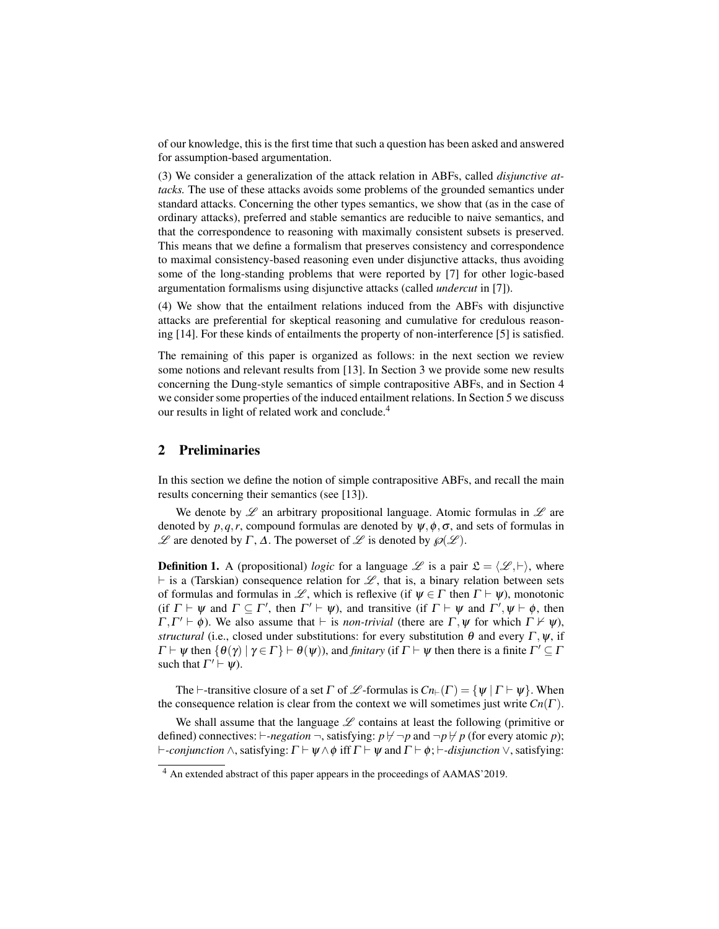of our knowledge, this is the first time that such a question has been asked and answered for assumption-based argumentation.

(3) We consider a generalization of the attack relation in ABFs, called *disjunctive attacks.* The use of these attacks avoids some problems of the grounded semantics under standard attacks. Concerning the other types semantics, we show that (as in the case of ordinary attacks), preferred and stable semantics are reducible to naive semantics, and that the correspondence to reasoning with maximally consistent subsets is preserved. This means that we define a formalism that preserves consistency and correspondence to maximal consistency-based reasoning even under disjunctive attacks, thus avoiding some of the long-standing problems that were reported by [7] for other logic-based argumentation formalisms using disjunctive attacks (called *undercut* in [7]).

(4) We show that the entailment relations induced from the ABFs with disjunctive attacks are preferential for skeptical reasoning and cumulative for credulous reasoning [14]. For these kinds of entailments the property of non-interference [5] is satisfied.

The remaining of this paper is organized as follows: in the next section we review some notions and relevant results from [13]. In Section 3 we provide some new results concerning the Dung-style semantics of simple contrapositive ABFs, and in Section 4 we consider some properties of the induced entailment relations. In Section 5 we discuss our results in light of related work and conclude.<sup>4</sup>

### 2 Preliminaries

In this section we define the notion of simple contrapositive ABFs, and recall the main results concerning their semantics (see [13]).

We denote by  $\mathscr L$  an arbitrary propositional language. Atomic formulas in  $\mathscr L$  are denoted by  $p, q, r$ , compound formulas are denoted by  $\psi, \phi, \sigma$ , and sets of formulas in  $\mathscr L$  are denoted by Γ, Δ. The powerset of  $\mathscr L$  is denoted by  $\mathscr D(\mathscr L)$ .

**Definition 1.** A (propositional) *logic* for a language L is a pair  $\mathfrak{L} = \langle \mathcal{L}, \vdash \rangle$ , where  $\vdash$  is a (Tarskian) consequence relation for  $\mathscr{L}$ , that is, a binary relation between sets of formulas and formulas in L, which is reflexive (if  $\psi \in \Gamma$  then  $\Gamma \vdash \psi$ ), monotonic (if  $\Gamma \vdash \psi$  and  $\Gamma \subseteq \Gamma'$ , then  $\Gamma' \vdash \psi$ ), and transitive (if  $\Gamma \vdash \psi$  and  $\Gamma', \psi \vdash \phi$ , then  $\Gamma, \Gamma' \vdash \phi$ ). We also assume that  $\vdash$  is *non-trivial* (there are  $\Gamma, \psi$  for which  $\Gamma \nvdash \psi$ ), *structural* (i.e., closed under substitutions: for every substitution  $\theta$  and every  $\Gamma$ ,  $\psi$ , if  $\Gamma \vdash \psi$  then  $\{\theta(\gamma) \mid \gamma \in \Gamma\} \vdash \theta(\psi)$ , and *finitary* (if  $\Gamma \vdash \psi$  then there is a finite  $\Gamma' \subseteq \Gamma$ such that  $\Gamma' \vdash \psi$ ).

The  $\vdash$ -transitive closure of a set  $\Gamma$  of  $\mathscr L$ -formulas is  $Cn_{\vdash}(\Gamma) = {\psi | \Gamma \vdash \psi}$ . When the consequence relation is clear from the context we will sometimes just write  $Cn(\Gamma)$ .

We shall assume that the language  $\mathscr L$  contains at least the following (primitive or defined) connectives:  $\vdash$ -*negation*  $\neg$ , satisfying:  $p \nvdash \neg p$  and  $\neg p \nvdash p$  (for every atomic *p*);  $\vdash$ -*conjunction*  $\wedge$ , satisfying:  $\Gamma \vdash \psi \wedge \phi$  iff  $\Gamma \vdash \psi$  and  $\Gamma \vdash \phi$ ;  $\vdash$ -*disjunction*  $\vee$ , satisfying:

<sup>4</sup> An extended abstract of this paper appears in the proceedings of AAMAS'2019.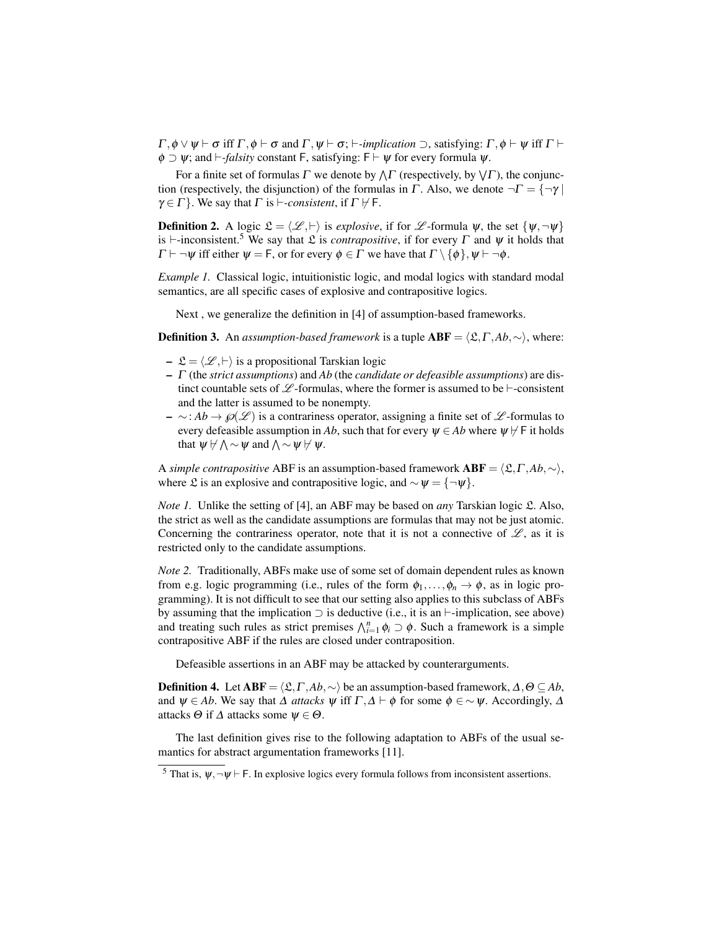$\Gamma, \phi \vee \psi \vdash \sigma$  iff  $\Gamma, \phi \vdash \sigma$  and  $\Gamma, \psi \vdash \sigma; \vdash$ *-implication*  $\supset$ , satisfying:  $\Gamma, \phi \vdash \psi$  iff  $\Gamma \vdash$  $\phi \supset \psi$ ; and  $\vdash$ -*falsity* constant F, satisfying: F  $\vdash \psi$  for every formula  $\psi$ .

For a finite set of formulas  $\Gamma$  we denote by  $\wedge \Gamma$  (respectively, by  $\vee \Gamma$ ), the conjunction (respectively, the disjunction) of the formulas in Γ. Also, we denote  $\neg \Gamma = {\neg \gamma}$  $\gamma \in \Gamma$  }. We say that  $\Gamma$  is  $\vdash$ *-consistent*, if  $\Gamma \not\vdash \Gamma$ .

**Definition 2.** A logic  $\mathcal{L} = \langle \mathcal{L}, \vdash \rangle$  is *explosive*, if for  $\mathcal{L}$ -formula  $\psi$ , the set  $\{\psi, \neg \psi\}$ is  $\vdash$ -inconsistent.<sup>5</sup> We say that  $\mathcal L$  is *contrapositive*, if for every  $\Gamma$  and  $\psi$  it holds that  $\Gamma \vdash \neg \psi$  iff either  $\psi = F$ , or for every  $\phi \in \Gamma$  we have that  $\Gamma \setminus \{\phi\}, \psi \vdash \neg \phi$ .

*Example 1.* Classical logic, intuitionistic logic, and modal logics with standard modal semantics, are all specific cases of explosive and contrapositive logics.

Next , we generalize the definition in [4] of assumption-based frameworks.

**Definition 3.** An *assumption-based framework* is a tuple  $ABF = \langle \mathcal{L}, \Gamma, Ab, \sim \rangle$ , where:

- $-\mathfrak{L} = \langle \mathcal{L}, \vdash \rangle$  is a propositional Tarskian logic
- Γ (the *strict assumptions*) and *Ab* (the *candidate or defeasible assumptions*) are distinct countable sets of  $\mathscr{L}$ -formulas, where the former is assumed to be  $\vdash$ -consistent and the latter is assumed to be nonempty.
- ∼: *Ab* →℘(L ) is a contrariness operator, assigning a finite set of L -formulas to every defeasible assumption in *Ab*, such that for every  $\psi \in Ab$  where  $\psi \nvdash$  F it holds that  $\psi \not\vdash \wedge \sim \psi$  and  $\wedge \sim \psi \not\vdash \psi$ .

A *simple contrapositive* ABF is an assumption-based framework  $ABF = \langle \mathfrak{L}, \Gamma, Ab, \sim \rangle$ , where £ is an explosive and contrapositive logic, and  $\sim \psi = \{\neg \psi\}.$ 

*Note 1.* Unlike the setting of [4], an ABF may be based on *any* Tarskian logic £. Also, the strict as well as the candidate assumptions are formulas that may not be just atomic. Concerning the contrariness operator, note that it is not a connective of  $\mathscr{L}$ , as it is restricted only to the candidate assumptions.

*Note 2.* Traditionally, ABFs make use of some set of domain dependent rules as known from e.g. logic programming (i.e., rules of the form  $\phi_1, \ldots, \phi_n \to \phi$ , as in logic programming). It is not difficult to see that our setting also applies to this subclass of ABFs by assuming that the implication  $\supset$  is deductive (i.e., it is an  $\vdash$ -implication, see above) and treating such rules as strict premises  $\bigwedge_{i=1}^{n} \phi_i \supset \phi$ . Such a framework is a simple contrapositive ABF if the rules are closed under contraposition.

Defeasible assertions in an ABF may be attacked by counterarguments.

**Definition 4.** Let  $ABF = \langle \mathcal{L}, \Gamma, Ab, \sim \rangle$  be an assumption-based framework,  $\Delta, \Theta \subseteq Ab$ , and  $\psi \in Ab$ . We say that  $\Delta$  *attacks*  $\psi$  iff  $\Gamma, \Delta \vdash \phi$  for some  $\phi \in \sim \psi$ . Accordingly,  $\Delta$ attacks  $\Theta$  if  $\Delta$  attacks some  $\psi \in \Theta$ .

The last definition gives rise to the following adaptation to ABFs of the usual semantics for abstract argumentation frameworks [11].

<sup>&</sup>lt;sup>5</sup> That is,  $\psi, \neg \psi \vdash F$ . In explosive logics every formula follows from inconsistent assertions.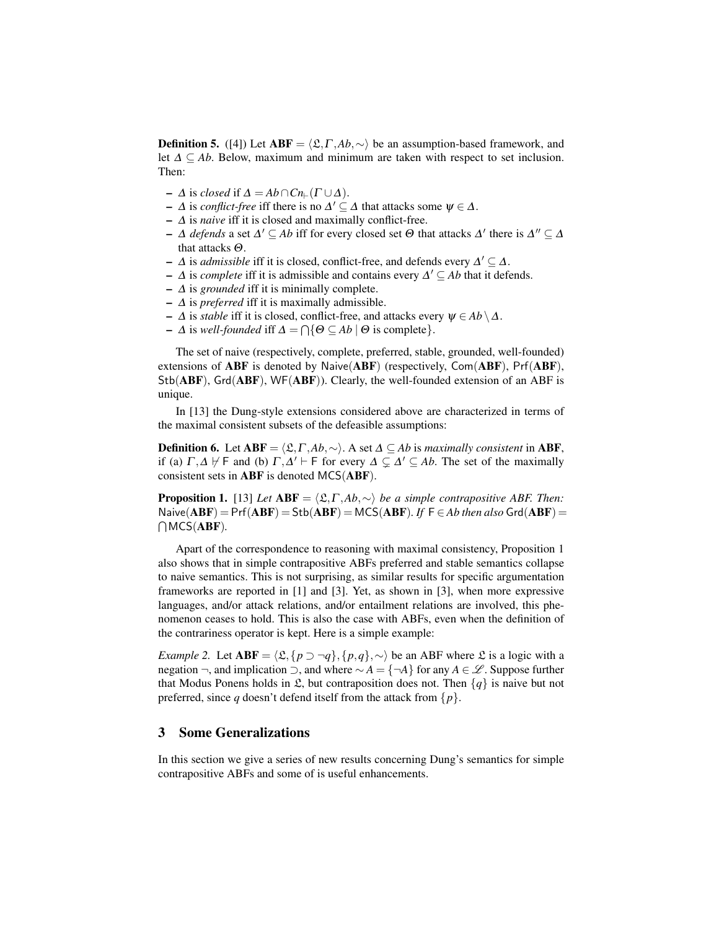**Definition 5.** ([4]) Let  $ABF = \langle \mathcal{L}, \Gamma, Ab, \sim \rangle$  be an assumption-based framework, and let  $\Delta \subseteq Ab$ . Below, maximum and minimum are taken with respect to set inclusion. Then:

- $-$  Δ is *closed* if  $Δ = Ab ∩ Cn_{\vdash}(Γ ∪ Δ)$ .
- $-$  Δ is *conflict-free* iff there is no  $\Delta' \subseteq \Delta$  that attacks some  $\psi \in \Delta$ .
- ∆ is *naive* iff it is closed and maximally conflict-free.
- $-$  Δ *defends* a set  $\Delta' \subseteq Ab$  iff for every closed set  $Θ$  that attacks  $\Delta'$  there is  $\Delta'' \subseteq \Delta$ that attacks Θ.
- $-$  Δ is *admissible* iff it is closed, conflict-free, and defends every  $Δ' ⊆ Δ$ .
- $-$  ∆ is *complete* iff it is admissible and contains every  $\Delta' \subseteq Ab$  that it defends.
- $\Delta$  is *grounded* iff it is minimally complete.
- $\Delta$  is *preferred* iff it is maximally admissible.
- ∆ is *stable* iff it is closed, conflict-free, and attacks every ψ ∈ *Ab* \∆.
- $-$  Δ is *well-founded* iff  $Δ = ∩{Θ ⊆ Ab ∣ Θ$  is complete}.

The set of naive (respectively, complete, preferred, stable, grounded, well-founded) extensions of ABF is denoted by Naive(ABF) (respectively, Com(ABF), Prf(ABF), Stb(ABF), Grd(ABF), WF(ABF)). Clearly, the well-founded extension of an ABF is unique.

In [13] the Dung-style extensions considered above are characterized in terms of the maximal consistent subsets of the defeasible assumptions:

**Definition 6.** Let  $ABF = \langle \mathcal{L}, \Gamma, Ab, \sim \rangle$ . A set  $\Delta ⊆ Ab$  is *maximally consistent* in ABF, if (a)  $\Gamma$ , $\Delta$   $\nvdash$  F and (b)  $\Gamma$ , $\Delta'$   $\vdash$  F for every  $\Delta \subsetneq \Delta' \subseteq Ab$ . The set of the maximally consistent sets in ABF is denoted MCS(ABF).

**Proposition 1.** [13] *Let*  $ABF = \langle \mathcal{L}, \Gamma, Ab, \sim \rangle$  *be a simple contrapositive ABF. Then:*  $N$ aive $(ABF) = Prf(ABF) = Stb(ABF) = MCS(ABF)$ . If  $F \in Ab$  then also  $Grd(ABF) =$  $\bigcap$ MCS(**ABF**).

Apart of the correspondence to reasoning with maximal consistency, Proposition 1 also shows that in simple contrapositive ABFs preferred and stable semantics collapse to naive semantics. This is not surprising, as similar results for specific argumentation frameworks are reported in [1] and [3]. Yet, as shown in [3], when more expressive languages, and/or attack relations, and/or entailment relations are involved, this phenomenon ceases to hold. This is also the case with ABFs, even when the definition of the contrariness operator is kept. Here is a simple example:

*Example 2.* Let  $ABF = \langle \mathfrak{L}, \{p \supset \neg q\}, \{p, q\}, \sim \rangle$  be an ABF where  $\mathfrak{L}$  is a logic with a negation ¬, and implication ⊃, and where ∼ *A* = {¬*A*} for any *A* ∈ L . Suppose further that Modus Ponens holds in  $\mathfrak{L}$ , but contraposition does not. Then  $\{q\}$  is naive but not preferred, since *q* doesn't defend itself from the attack from  $\{p\}$ .

## 3 Some Generalizations

In this section we give a series of new results concerning Dung's semantics for simple contrapositive ABFs and some of is useful enhancements.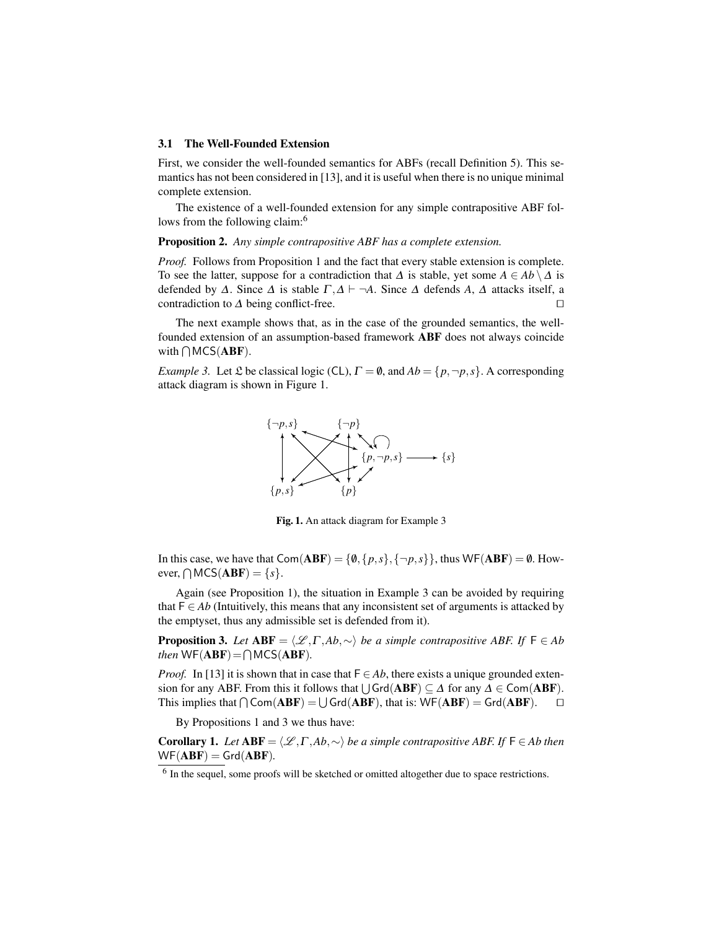#### 3.1 The Well-Founded Extension

First, we consider the well-founded semantics for ABFs (recall Definition 5). This semantics has not been considered in [13], and it is useful when there is no unique minimal complete extension.

The existence of a well-founded extension for any simple contrapositive ABF follows from the following claim:<sup>6</sup>

Proposition 2. *Any simple contrapositive ABF has a complete extension.*

*Proof.* Follows from Proposition 1 and the fact that every stable extension is complete. To see the latter, suppose for a contradiction that  $\Delta$  is stable, yet some  $A \in Ab \setminus \Delta$  is defended by  $\Delta$ . Since  $\Delta$  is stable  $\Gamma, \Delta \vdash \neg A$ . Since  $\Delta$  defends  $A, \Delta$  attacks itself, a contradiction to  $\Delta$  being conflict-free.  $\Box$ 

The next example shows that, as in the case of the grounded semantics, the wellfounded extension of an assumption-based framework ABF does not always coincide with  $\bigcap$  MCS(ABF).

*Example 3.* Let  $\mathfrak L$  be classical logic (CL),  $\Gamma = \emptyset$ , and  $Ab = \{p, \neg p, s\}$ . A corresponding attack diagram is shown in Figure 1.



Fig. 1. An attack diagram for Example 3

In this case, we have that  $Com(ABF) = \{0, \{p, s\}, \{\neg p, s\}\}\$ , thus  $WF(ABF) = \emptyset$ . However,  $\bigcap \text{MCS}(\text{ABF}) = \{s\}.$ 

Again (see Proposition 1), the situation in Example 3 can be avoided by requiring that  $F \in Ab$  (Intuitively, this means that any inconsistent set of arguments is attacked by the emptyset, thus any admissible set is defended from it).

**Proposition 3.** Let  $ABF = \langle \mathcal{L}, \Gamma, Ab, \sim \rangle$  *be a simple contrapositive ABF. If*  $F \in Ab$ *then*  $WF(ABF) = \bigcap MCS(ABF)$ *.* 

*Proof.* In [13] it is shown that in case that  $F \in Ab$ , there exists a unique grounded extension for any ABF. From this it follows that  $\bigcup \mathsf{Grd}(\mathbf{ABF}) \subseteq \Delta$  for any  $\Delta \in \mathsf{Com}(\mathbf{ABF})$ . This implies that  $\bigcap \text{Com}(\mathbf{ABF}) = \bigcup \text{Grd}(\mathbf{ABF})$ , that is:  $\text{WF}(\mathbf{ABF}) = \text{Grd}(\mathbf{ABF})$ .  $\Box$ 

By Propositions 1 and 3 we thus have:

**Corollary 1.** *Let*  $ABF = \langle \mathcal{L}, \Gamma, Ab, \sim \rangle$  *be a simple contrapositive ABF. If*  $F \in Ab$  *then*  $WF(ABF) = Grd(ABF)$ .

 $<sup>6</sup>$  In the sequel, some proofs will be sketched or omitted altogether due to space restrictions.</sup>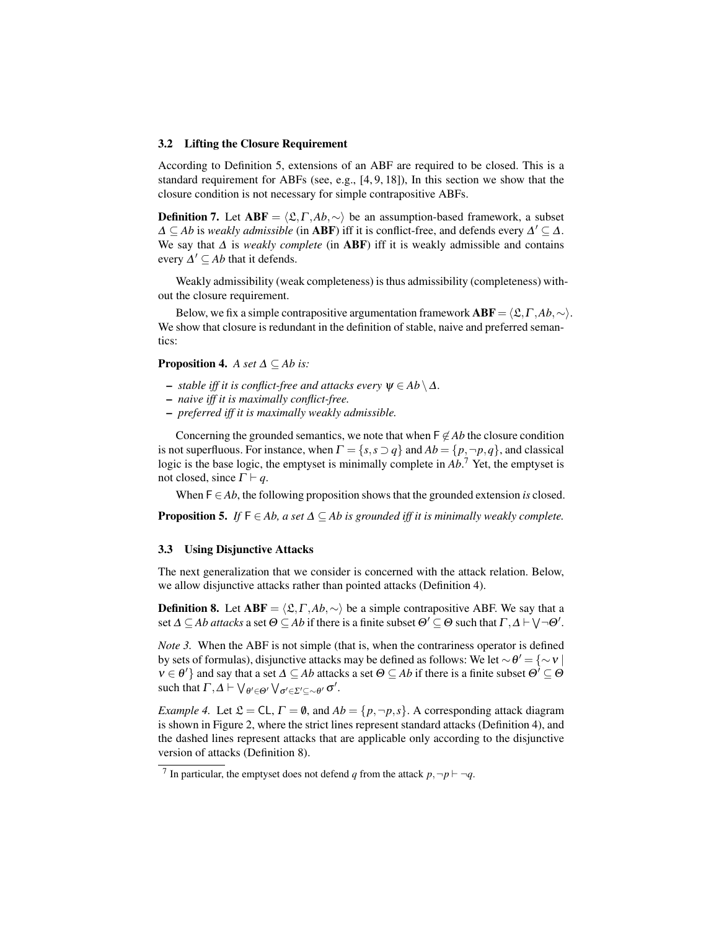#### 3.2 Lifting the Closure Requirement

According to Definition 5, extensions of an ABF are required to be closed. This is a standard requirement for ABFs (see, e.g., [4, 9, 18]), In this section we show that the closure condition is not necessary for simple contrapositive ABFs.

**Definition 7.** Let  $ABF = \langle \mathfrak{L}, \Gamma, Ab, \sim \rangle$  be an assumption-based framework, a subset  $\Delta \subseteq Ab$  is *weakly admissible* (in **ABF**) iff it is conflict-free, and defends every  $\Delta' \subseteq \Delta$ . We say that ∆ is *weakly complete* (in ABF) iff it is weakly admissible and contains every  $\Delta' \subseteq Ab$  that it defends.

Weakly admissibility (weak completeness) is thus admissibility (completeness) without the closure requirement.

Below, we fix a simple contrapositive argumentation framework  $ABF = \langle \mathfrak{L}, \Gamma, Ab, \sim \rangle$ . We show that closure is redundant in the definition of stable, naive and preferred semantics:

**Proposition 4.** *A set*  $\Delta \subseteq Ab$  *is:* 

- $-$  *stable iff it is conflict-free and attacks every*  $ψ ∈ Ab \Delta$ *.*
- *naive iff it is maximally conflict-free.*
- *preferred iff it is maximally weakly admissible.*

Concerning the grounded semantics, we note that when  $\mathsf{F} \not\in Ab$  the closure condition is not superfluous. For instance, when  $\Gamma = \{s, s \supset q\}$  and  $Ab = \{p, \neg p, q\}$ , and classical logic is the base logic, the emptyset is minimally complete in *Ab*. <sup>7</sup> Yet, the emptyset is not closed, since  $\Gamma \vdash q$ .

When  $F \in Ab$ , the following proposition shows that the grounded extension *is* closed.

**Proposition 5.** *If*  $F \in Ab$ , a set  $\Delta \subseteq Ab$  is grounded iff it is minimally weakly complete.

#### 3.3 Using Disjunctive Attacks

The next generalization that we consider is concerned with the attack relation. Below, we allow disjunctive attacks rather than pointed attacks (Definition 4).

**Definition 8.** Let  $ABF = \langle \mathfrak{L}, \Gamma, Ab, \sim \rangle$  be a simple contrapositive ABF. We say that a set  $\Delta \subseteq Ab$  *attacks* a set  $\Theta \subseteq Ab$  if there is a finite subset  $\Theta' \subseteq \Theta$  such that  $\Gamma, \Delta \vdash \bigvee \neg \Theta'.$ 

*Note 3.* When the ABF is not simple (that is, when the contrariness operator is defined by sets of formulas), disjunctive attacks may be defined as follows: We let  $\sim \theta' = \{\sim v \mid$  $v \in \theta'$ } and say that a set  $\Delta \subseteq Ab$  attacks a set  $\Theta \subseteq Ab$  if there is a finite subset  $\Theta' \subseteq \Theta$ such that  $\Gamma, \Delta \vdash \bigvee_{\theta' \in \Theta'} \bigvee_{\sigma' \in \Sigma' \subseteq \sim \theta'} \sigma'.$ 

*Example 4.* Let  $\mathcal{L} = CL$ ,  $\Gamma = \emptyset$ , and  $Ab = \{p, \neg p, s\}$ . A corresponding attack diagram is shown in Figure 2, where the strict lines represent standard attacks (Definition 4), and the dashed lines represent attacks that are applicable only according to the disjunctive version of attacks (Definition 8).

<sup>&</sup>lt;sup>7</sup> In particular, the emptyset does not defend *q* from the attack  $p, \neg p \vdash \neg q$ .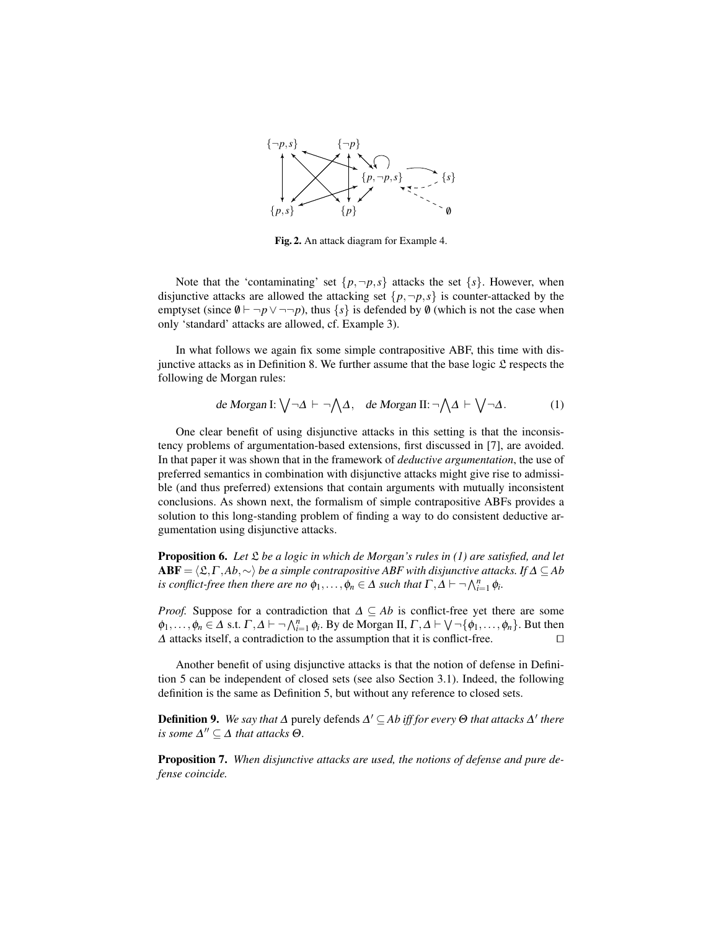

Fig. 2. An attack diagram for Example 4.

Note that the 'contaminating' set  $\{p, \neg p, s\}$  attacks the set  $\{s\}$ . However, when disjunctive attacks are allowed the attacking set  $\{p, \neg p, s\}$  is counter-attacked by the emptyset (since  $\emptyset \vdash \neg p \lor \neg \neg p$ ), thus  $\{s\}$  is defended by  $\emptyset$  (which is not the case when only 'standard' attacks are allowed, cf. Example 3).

In what follows we again fix some simple contrapositive ABF, this time with disjunctive attacks as in Definition 8. We further assume that the base logic  $\mathfrak L$  respects the following de Morgan rules:

de Morgan I: 
$$
\bigvee \neg \Delta \vdash \neg \bigwedge \Delta
$$
, de Morgan II:  $\neg \bigwedge \Delta \vdash \bigvee \neg \Delta$ . (1)

One clear benefit of using disjunctive attacks in this setting is that the inconsistency problems of argumentation-based extensions, first discussed in [7], are avoided. In that paper it was shown that in the framework of *deductive argumentation*, the use of preferred semantics in combination with disjunctive attacks might give rise to admissible (and thus preferred) extensions that contain arguments with mutually inconsistent conclusions. As shown next, the formalism of simple contrapositive ABFs provides a solution to this long-standing problem of finding a way to do consistent deductive argumentation using disjunctive attacks.

Proposition 6. *Let* L *be a logic in which de Morgan's rules in (1) are satisfied, and let*  $\mathbf{ABF} = \langle \mathfrak{L}, \Gamma, Ab, \sim \rangle$  *be a simple contrapositive ABF with disjunctive attacks. If* ∆ ⊆ *Ab is conflict-free then there are no*  $\phi_1, \ldots, \phi_n \in \Delta$  *such that*  $\Gamma, \Delta \vdash \neg \bigwedge_{i=1}^n \phi_i$ .

*Proof.* Suppose for a contradiction that  $\Delta \subseteq Ab$  is conflict-free yet there are some  $\phi_1,\ldots,\phi_n\in\Delta$  s.t.  $\Gamma,\Delta\vdash\neg\bigwedge_{i=1}^n\phi_i$ . By de Morgan II,  $\Gamma,\Delta\vdash\bigvee\neg\{\phi_1,\ldots,\phi_n\}$ . But then  $\Delta$  attacks itself, a contradiction to the assumption that it is conflict-free.  $\square$ 

Another benefit of using disjunctive attacks is that the notion of defense in Definition 5 can be independent of closed sets (see also Section 3.1). Indeed, the following definition is the same as Definition 5, but without any reference to closed sets.

**Definition 9.** We say that Δ purely defends  $\Delta' \subseteq$  Ab iff for every  $\Theta$  that attacks  $\Delta'$  there *is some*  $\Delta'' \subseteq \Delta$  *that attacks*  $\Theta$ *.* 

Proposition 7. *When disjunctive attacks are used, the notions of defense and pure defense coincide.*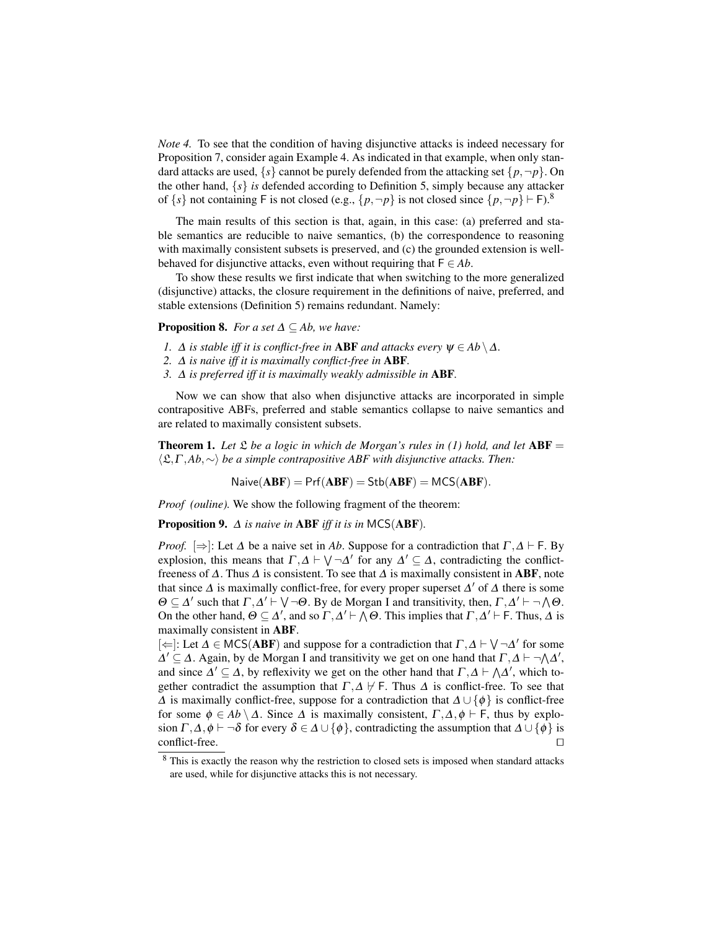*Note 4.* To see that the condition of having disjunctive attacks is indeed necessary for Proposition 7, consider again Example 4. As indicated in that example, when only standard attacks are used,  $\{s\}$  cannot be purely defended from the attacking set  $\{p, \neg p\}$ . On the other hand,  $\{s\}$  *is* defended according to Definition 5, simply because any attacker of  $\{s\}$  not containing F is not closed (e.g.,  $\{p, \neg p\}$  is not closed since  $\{p, \neg p\} \vdash F$ ).<sup>8</sup>

The main results of this section is that, again, in this case: (a) preferred and stable semantics are reducible to naive semantics, (b) the correspondence to reasoning with maximally consistent subsets is preserved, and (c) the grounded extension is wellbehaved for disjunctive attacks, even without requiring that  $F \in Ab$ .

To show these results we first indicate that when switching to the more generalized (disjunctive) attacks, the closure requirement in the definitions of naive, preferred, and stable extensions (Definition 5) remains redundant. Namely:

### **Proposition 8.** *For a set*  $\Delta \subseteq Ab$ *, we have:*

- *1.*  $\Delta$  *is stable iff it is conflict-free in* **ABF** *and attacks every*  $\psi \in Ab \setminus \Delta$ *.*
- *2.* ∆ *is naive iff it is maximally conflict-free in* ABF*.*
- *3.* ∆ *is preferred iff it is maximally weakly admissible in* ABF*.*

Now we can show that also when disjunctive attacks are incorporated in simple contrapositive ABFs, preferred and stable semantics collapse to naive semantics and are related to maximally consistent subsets.

**Theorem 1.** Let  $\mathfrak L$  be a logic in which de Morgan's rules in (1) hold, and let  $ABF =$ hL,Γ ,*Ab*,∼i *be a simple contrapositive ABF with disjunctive attacks. Then:*

 $N \text{alive}(ABF) = Prf(ABF) = Stb(ABF) = MCS(ABF).$ 

*Proof (ouline).* We show the following fragment of the theorem:

Proposition 9. ∆ *is naive in* ABF *iff it is in* MCS(ABF)*.*

*Proof.*  $[\Rightarrow]$ : Let  $\Delta$  be a naive set in Ab. Suppose for a contradiction that  $\Gamma, \Delta \vdash F$ . By explosion, this means that  $\Gamma, \Delta \vdash \bigvee \neg \Delta'$  for any  $\Delta' \subseteq \Delta$ , contradicting the conflictfreeness of  $\Delta$ . Thus  $\Delta$  is consistent. To see that  $\Delta$  is maximally consistent in ABF, note that since  $\Delta$  is maximally conflict-free, for every proper superset  $\Delta'$  of  $\Delta$  there is some  $\Theta \subseteq \Delta'$  such that  $\Gamma, \Delta' \vdash \bigvee \neg \Theta$ . By de Morgan I and transitivity, then,  $\Gamma, \Delta' \vdash \neg \bigwedge \Theta$ . On the other hand,  $\Theta \subseteq \Delta'$ , and so  $\Gamma, \Delta' \vdash \Lambda \Theta$ . This implies that  $\Gamma, \Delta' \vdash F$ . Thus,  $\Delta$  is maximally consistent in ABF.

[ $\Leftarrow$ ]: Let  $\Delta \in \text{MCS}(ABF)$  and suppose for a contradiction that  $\Gamma, \Delta \vdash \bigvee \neg \Delta'$  for some  $\Delta' \subseteq \Delta$ . Again, by de Morgan I and transitivity we get on one hand that  $\Gamma, \Delta \vdash \neg \Lambda \Delta'$ , and since  $\Delta' \subseteq \Delta$ , by reflexivity we get on the other hand that  $\Gamma, \Delta \vdash \Lambda \Delta'$ , which together contradict the assumption that  $\Gamma, \Delta \nvdash F$ . Thus  $\Delta$  is conflict-free. To see that  $\Delta$  is maximally conflict-free, suppose for a contradiction that  $\Delta \cup {\phi}$  is conflict-free for some  $\phi \in Ab \setminus \Delta$ . Since  $\Delta$  is maximally consistent,  $\Gamma, \Delta, \phi \vdash F$ , thus by explosion  $\Gamma, \Delta, \phi \vdash \neg \delta$  for every  $\delta \in \Delta \cup \{\phi\}$ , contradicting the assumption that  $\Delta \cup \{\phi\}$  is  $\Box$ conflict-free.  $\Box$ 

<sup>&</sup>lt;sup>8</sup> This is exactly the reason why the restriction to closed sets is imposed when standard attacks are used, while for disjunctive attacks this is not necessary.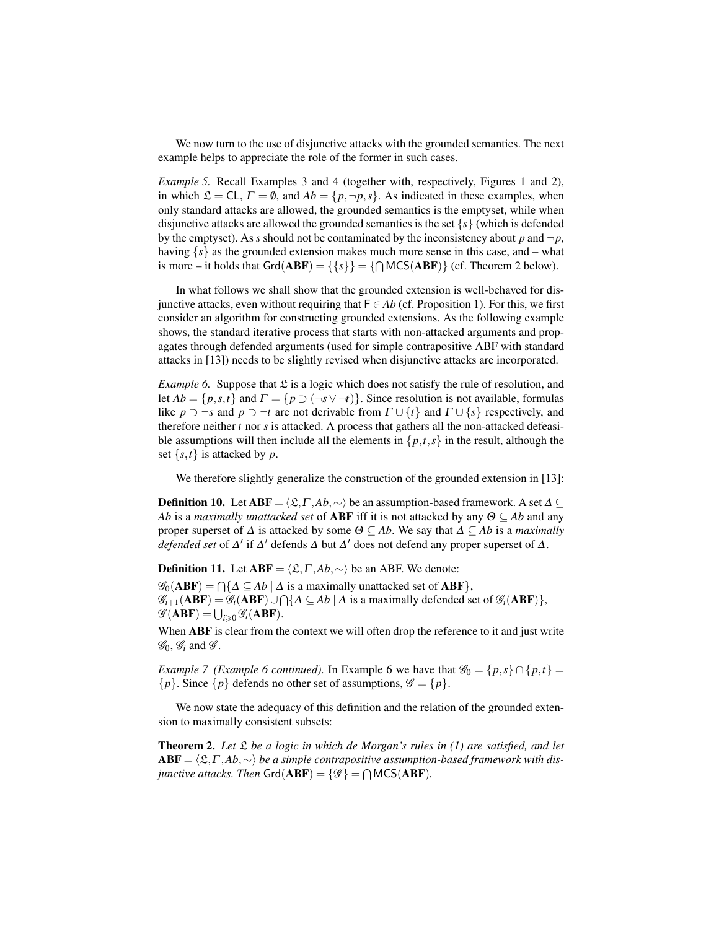We now turn to the use of disjunctive attacks with the grounded semantics. The next example helps to appreciate the role of the former in such cases.

*Example 5.* Recall Examples 3 and 4 (together with, respectively, Figures 1 and 2), in which  $\mathcal{L} = CL$ ,  $\Gamma = \emptyset$ , and  $Ab = \{p, \neg p, s\}$ . As indicated in these examples, when only standard attacks are allowed, the grounded semantics is the emptyset, while when disjunctive attacks are allowed the grounded semantics is the set {*s*} (which is defended by the emptyset). As *s* should not be contaminated by the inconsistency about *p* and  $\neg p$ , having  $\{s\}$  as the grounded extension makes much more sense in this case, and – what is more – it holds that  $\text{Grd}(\text{ABF}) = {\{s\}} = {\cap \text{MCS}(\text{ABF})}$  (cf. Theorem 2 below).

In what follows we shall show that the grounded extension is well-behaved for disjunctive attacks, even without requiring that  $F \in Ab$  (cf. Proposition 1). For this, we first consider an algorithm for constructing grounded extensions. As the following example shows, the standard iterative process that starts with non-attacked arguments and propagates through defended arguments (used for simple contrapositive ABF with standard attacks in [13]) needs to be slightly revised when disjunctive attacks are incorporated.

*Example 6.* Suppose that  $\mathfrak L$  is a logic which does not satisfy the rule of resolution, and let  $Ab = \{p, s, t\}$  and  $\Gamma = \{p \supset (\neg s \vee \neg t)\}\$ . Since resolution is not available, formulas like  $p \supset \neg s$  and  $p \supset \neg t$  are not derivable from  $\Gamma \cup \{t\}$  and  $\Gamma \cup \{s\}$  respectively, and therefore neither *t* nor *s* is attacked. A process that gathers all the non-attacked defeasible assumptions will then include all the elements in  $\{p,t,s\}$  in the result, although the set  $\{s,t\}$  is attacked by *p*.

We therefore slightly generalize the construction of the grounded extension in [13]:

**Definition 10.** Let  $ABF = \langle \mathcal{L}, \Gamma, Ab, \sim \rangle$  be an assumption-based framework. A set  $\Delta \subseteq$ *Ab* is a *maximally unattacked set* of **ABF** iff it is not attacked by any  $\Theta \subseteq Ab$  and any proper superset of  $\Delta$  is attacked by some  $\Theta \subseteq Ab$ . We say that  $\Delta \subseteq Ab$  is a *maximally defended set* of  $\Delta'$  if  $\Delta'$  defends  $\Delta$  but  $\Delta'$  does not defend any proper superset of  $\Delta$ .

**Definition 11.** Let  $ABF = \langle \mathcal{L}, \Gamma, Ab, \sim \rangle$  be an ABF. We denote:

 $\mathscr{G}_0(ABF) = \bigcap \{ \Delta \subseteq Ab \mid \Delta \text{ is a maximally unattached set of } ABF \},\$  $\mathscr{G}_{i+1}(\textbf{ABF}) = \mathscr{G}_i(\textbf{ABF}) \cup \bigcap \{\Delta \subseteq Ab \mid \Delta \text{ is a maximally defined set of } \mathscr{G}_i(\textbf{ABF})\},\$  $\mathscr{G}(\mathbf{ABF}) = \bigcup_{i \geqslant 0} \mathscr{G}_i(\mathbf{ABF}).$ 

When **ABF** is clear from the context we will often drop the reference to it and just write  $\mathscr{G}_0$ ,  $\mathscr{G}_i$  and  $\mathscr{G}$ .

*Example 7 (Example 6 continued).* In Example 6 we have that  $\mathcal{G}_0 = \{p, s\} \cap \{p, t\}$  $\{p\}$ . Since  $\{p\}$  defends no other set of assumptions,  $\mathcal{G} = \{p\}$ .

We now state the adequacy of this definition and the relation of the grounded extension to maximally consistent subsets:

Theorem 2. *Let* L *be a logic in which de Morgan's rules in (1) are satisfied, and let*  $ABF = \langle \mathfrak{L}, \Gamma, Ab, \sim \rangle$  *be a simple contrapositive assumption-based framework with disjunctive attacks. Then*  $\mathsf{Grd}(\mathbf{ABF}) = \{\mathscr{G}\} = \bigcap \mathsf{MCS}(\mathbf{ABF})$ .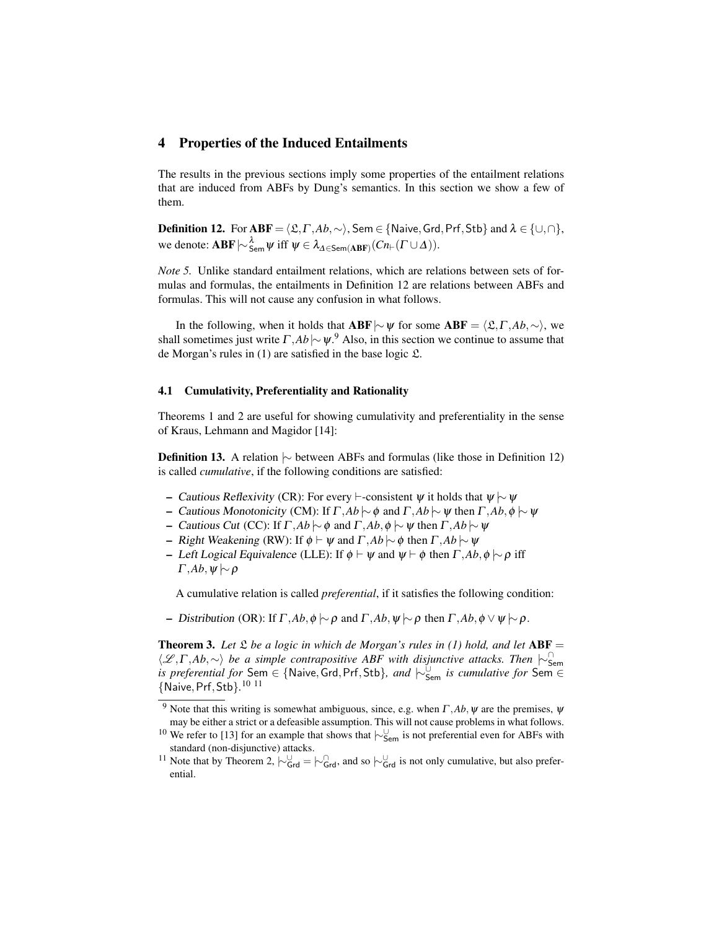# 4 Properties of the Induced Entailments

The results in the previous sections imply some properties of the entailment relations that are induced from ABFs by Dung's semantics. In this section we show a few of them.

**Definition 12.** For  $ABF = \langle \mathfrak{L}, \Gamma, Ab, \sim \rangle$ , Sem ∈ {Naive, Grd, Prf, Stb} and  $\lambda \in \{\cup, \cap\}$ , we denote:  $ABF \sim_{Sem}^{\lambda} \psi$  iff  $\psi \in \lambda_{\Delta \in Sem(ABF)}(Cn_{\vdash}( \Gamma \cup \Delta)).$ 

*Note 5.* Unlike standard entailment relations, which are relations between sets of formulas and formulas, the entailments in Definition 12 are relations between ABFs and formulas. This will not cause any confusion in what follows.

In the following, when it holds that **ABF**  $|∼$  for some **ABF** =  $\langle \mathfrak{L}, \Gamma, Ab, ∼ \rangle$ , we shall sometimes just write  $\Gamma, Ab \sim \psi$ .<sup>9</sup> Also, in this section we continue to assume that de Morgan's rules in  $(1)$  are satisfied in the base logic  $\mathfrak{L}$ .

### 4.1 Cumulativity, Preferentiality and Rationality

Theorems 1 and 2 are useful for showing cumulativity and preferentiality in the sense of Kraus, Lehmann and Magidor [14]:

Definition 13. A relation  $\sim$  between ABFs and formulas (like those in Definition 12) is called *cumulative*, if the following conditions are satisfied:

- Cautious Reflexivity (CR): For every  $\vdash$ -consistent  $\psi$  it holds that  $\psi \sim \psi$
- Cautious Monotonicity (CM): If Γ ,*Ab* |∼φ and Γ ,*Ab* |∼ψ then Γ ,*Ab*,φ |∼ψ
- Cautious Cut (CC): If Γ ,*Ab* |∼φ and Γ ,*Ab*,φ |∼ψ then Γ ,*Ab* |∼ψ
- $-$  Right Weakening (RW): If  $\phi$   $\vdash$   $\psi$  and  $\Gamma$ *,Ab*  $\sim$   $\phi$  then  $\Gamma$ *,Ab*  $\sim$   $\psi$
- Left Logical Equivalence (LLE): If  $\phi$   $\vdash$   $\psi$  and  $\psi$   $\vdash$   $\phi$  then Γ, *Ab*,  $\phi$   $\vdash$   $\rho$  iff  $Γ, Ab, ψ \mid\sim ρ$

A cumulative relation is called *preferential*, if it satisfies the following condition:

– Distribution (OR): If Γ ,*Ab*,φ |∼ρ and Γ ,*Ab*,ψ |∼ρ then Γ ,*Ab*,φ ∨ψ |∼ρ.

**Theorem 3.** Let  $\mathfrak L$  be a logic in which de Morgan's rules in (1) hold, and let  $ABF =$ hL ,Γ ,*Ab*,∼i *be a simple contrapositive ABF with disjunctive attacks. Then* |∼<sup>∩</sup> Sem *is preferential for* Sem ∈ {Naive, Grd, Prf, Stb}, and  $\vdash_{Sem}^{\cup}$  *is cumulative for* Sem ∈ {Naive,Prf,Stb}*.* 10 11

<sup>&</sup>lt;sup>9</sup> Note that this writing is somewhat ambiguous, since, e.g. when  $\Gamma$ , *Ab*,  $\psi$  are the premises,  $\psi$ may be either a strict or a defeasible assumption. This will not cause problems in what follows.

<sup>&</sup>lt;sup>10</sup> We refer to [13] for an example that shows that  $\vdash^{\cup}_{\mathsf{Sem}}$  is not preferential even for ABFs with standard (non-disjunctive) attacks.

<sup>&</sup>lt;sup>11</sup> Note that by Theorem 2,  $\sim_{\text{Grd}}^{\bigcup} = \sim_{\text{Grd}}^{\bigcap}$ , and so  $\sim_{\text{Grd}}^{\bigcup}$  is not only cumulative, but also preferential.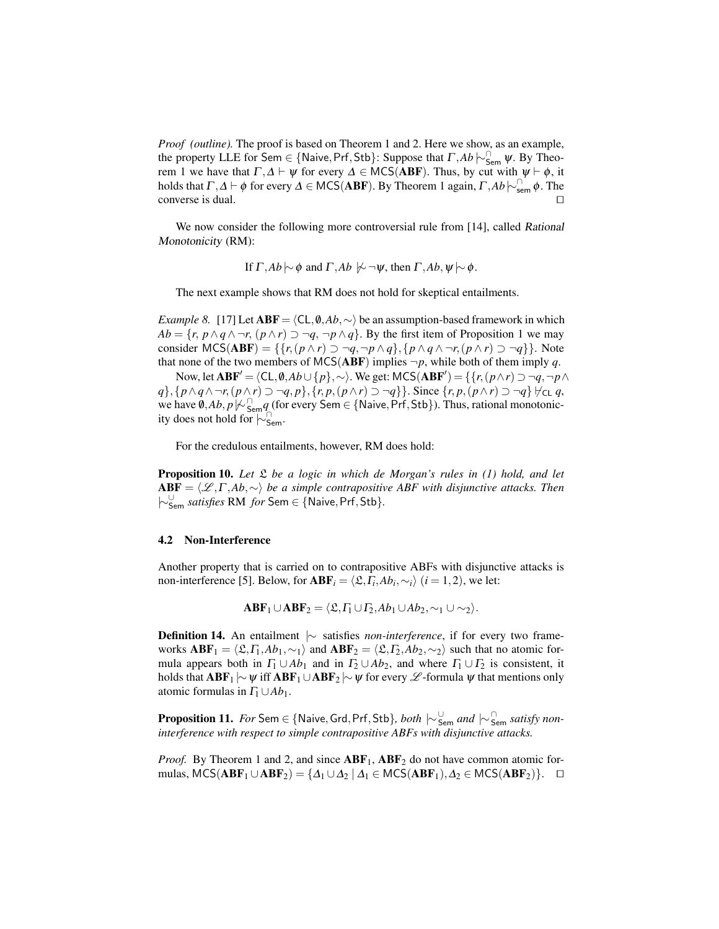*Proof (outline).* The proof is based on Theorem 1 and 2. Here we show, as an example, the property LLE for Sem  $\in$  {Naive, Prf, Stb}: Suppose that  $\Gamma$ ,  $Ab \rvert_{\text{Sem}}^{\cap} \psi$ . By Theorem 1 we have that  $\Gamma, \Delta \vdash \psi$  for every  $\Delta \in \text{MCS}(ABF)$ . Thus, by cut with  $\psi \vdash \phi$ , it holds that  $\Gamma, \Delta \vdash \phi$  for every  $\Delta \in \mathsf{MCS}(\mathbf{ABF})$ . By Theorem 1 again,  $\Gamma, Ab \sim_{\mathsf{sem}}^{\cap} \phi$ . The converse is dual.  $\Box$ 

We now consider the following more controversial rule from [14], called Rational Monotonicity (RM):

If  $\Gamma$ , $Ab \sim \phi$  and  $\Gamma$ , $Ab \not\sim \neg \psi$ , then  $\Gamma$ , $Ab, \psi \sim \phi$ .

The next example shows that RM does not hold for skeptical entailments.

*Example 8.* [17] Let **ABF** =  $\langle$ CL,  $\emptyset$ , *Ab*, ∼ $\rangle$  be an assumption-based framework in which  $Ab = \{r, p \wedge q \wedge \neg r, (p \wedge r) \supset \neg q, \neg p \wedge q\}$ . By the first item of Proposition 1 we may consider  $MCS(ABF) = \{\{r, (p \wedge r) \supset \neg q, \neg p \wedge q\}, \{p \wedge q \wedge \neg r, (p \wedge r) \supset \neg q\}\}.$  Note that none of the two members of MCS(ABF) implies  $\neg p$ , while both of them imply *q*.

Now, let  $ABF' = \langle CL, \emptyset, Ab \cup \{p\}, \sim \rangle$ . We get: MCS( $ABF'$ ) = {{*r*,(*p*∧*r*) ⊃ ¬*q*,¬*p*∧ *q*}, { $p \land q \land \neg r$ ,  $(p \land r) \supset \neg q$ ,  $p$ }, { $r$ ,  $p$ ,  $(p \land r) \supset \neg q$ }}. Since { $r$ ,  $p$ ,  $(p \land r) \supset \neg q$ }  $\forall$ <sub>CL</sub>  $q$ , we have  $\hat{\theta}$ ,*Ab*, *p* $\psi$ <sub>Sem</sub> *q* (for every Sem ∈ {Naive, Prf, Stb}). Thus, rational monotonicity does not hold for  $\sim_{\mathsf{Sem}}^{\cap}$ .

For the credulous entailments, however, RM does hold:

Proposition 10. *Let* L *be a logic in which de Morgan's rules in (1) hold, and let* ABF = hL ,Γ ,*Ab*,∼i *be a simple contrapositive ABF with disjunctive attacks. Then* |∼<sup>∪</sup> Sem *satisfies* RM *for* Sem ∈ {Naive,Prf,Stb}*.*

#### 4.2 Non-Interference

Another property that is carried on to contrapositive ABFs with disjunctive attacks is non-interference [5]. Below, for  $ABF_i = \langle \mathfrak{L}, \Gamma_i, Ab_i, \sim_i \rangle$  (*i* = 1,2), we let:

 $ABF_1 \cup ABF_2 = \langle \mathfrak{L}, \Gamma_1 \cup \Gamma_2, Ab_1 \cup Ab_2, \sim_1 \cup \sim_2 \rangle.$ 

Definition 14. An entailment  $|∼$  satisfies *non-interference*, if for every two frameworks  $ABF_1 = \langle \mathfrak{L}, \Gamma_1, Ab_1, \sim_1 \rangle$  and  $ABF_2 = \langle \mathfrak{L}, \Gamma_2, Ab_2, \sim_2 \rangle$  such that no atomic formula appears both in  $\Gamma_1 \cup Ab_1$  and in  $\Gamma_2 \cup Ab_2$ , and where  $\Gamma_1 \cup \Gamma_2$  is consistent, it holds that  $ABF_1 \sim \psi$  iff  $ABF_1 \cup ABF_2 \sim \psi$  for every  $\mathscr L$ -formula  $\psi$  that mentions only atomic formulas in  $\Gamma_1 \cup Ab_1$ .

Proposition 11. *For* Sem ∈ {Naive, Grd, Prf, Stb}, *both*  $\mid \sim_{\sf Sem}^{\cup}$  *and*  $\mid \sim_{\sf Sem}^{\cap}$  *satisfy noninterference with respect to simple contrapositive ABFs with disjunctive attacks.*

*Proof.* By Theorem 1 and 2, and since  $ABF_1$ ,  $ABF_2$  do not have common atomic formulas, MCS( $ABF_1 \cup ABF_2$ ) = { $\Delta_1 \cup \Delta_2 \mid \Delta_1 \in \text{MCS}(ABF_1), \Delta_2 \in \text{MCS}(ABF_2)$ }.  $\Box$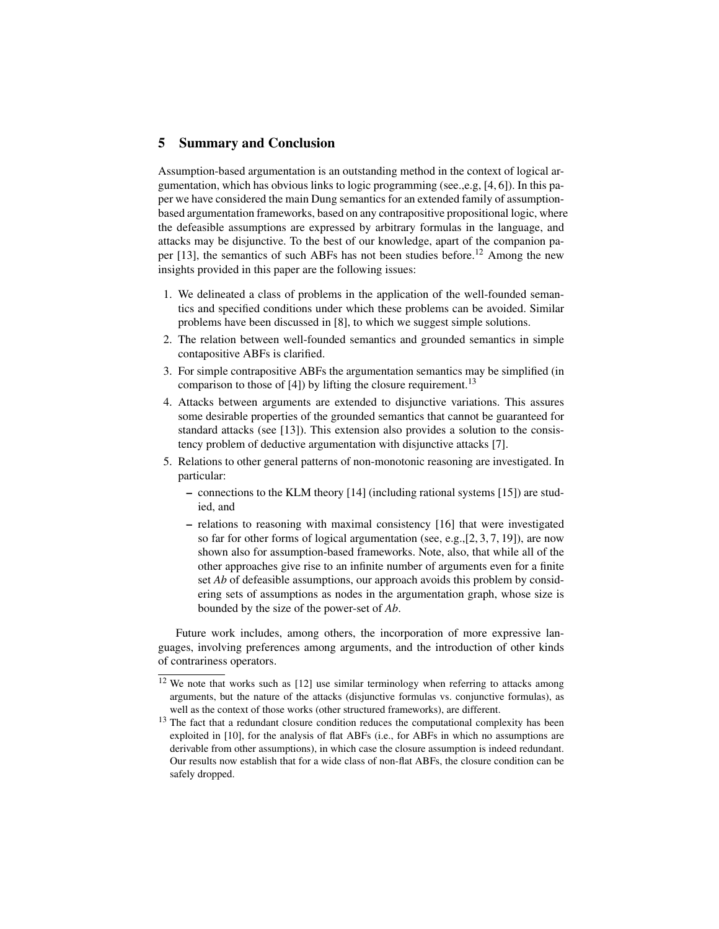### 5 Summary and Conclusion

Assumption-based argumentation is an outstanding method in the context of logical argumentation, which has obvious links to logic programming (see,,e.g,  $[4, 6]$ ). In this paper we have considered the main Dung semantics for an extended family of assumptionbased argumentation frameworks, based on any contrapositive propositional logic, where the defeasible assumptions are expressed by arbitrary formulas in the language, and attacks may be disjunctive. To the best of our knowledge, apart of the companion paper  $[13]$ , the semantics of such ABFs has not been studies before.<sup>12</sup> Among the new insights provided in this paper are the following issues:

- 1. We delineated a class of problems in the application of the well-founded semantics and specified conditions under which these problems can be avoided. Similar problems have been discussed in [8], to which we suggest simple solutions.
- 2. The relation between well-founded semantics and grounded semantics in simple contapositive ABFs is clarified.
- 3. For simple contrapositive ABFs the argumentation semantics may be simplified (in comparison to those of  $[4]$ ) by lifting the closure requirement.<sup>13</sup>
- 4. Attacks between arguments are extended to disjunctive variations. This assures some desirable properties of the grounded semantics that cannot be guaranteed for standard attacks (see [13]). This extension also provides a solution to the consistency problem of deductive argumentation with disjunctive attacks [7].
- 5. Relations to other general patterns of non-monotonic reasoning are investigated. In particular:
	- connections to the KLM theory [14] (including rational systems [15]) are studied, and
	- relations to reasoning with maximal consistency [16] that were investigated so far for other forms of logical argumentation (see, e.g.,  $[2, 3, 7, 19]$ ), are now shown also for assumption-based frameworks. Note, also, that while all of the other approaches give rise to an infinite number of arguments even for a finite set *Ab* of defeasible assumptions, our approach avoids this problem by considering sets of assumptions as nodes in the argumentation graph, whose size is bounded by the size of the power-set of *Ab*.

Future work includes, among others, the incorporation of more expressive languages, involving preferences among arguments, and the introduction of other kinds of contrariness operators.

<sup>&</sup>lt;sup>12</sup> We note that works such as [12] use similar terminology when referring to attacks among arguments, but the nature of the attacks (disjunctive formulas vs. conjunctive formulas), as well as the context of those works (other structured frameworks), are different.

<sup>&</sup>lt;sup>13</sup> The fact that a redundant closure condition reduces the computational complexity has been exploited in [10], for the analysis of flat ABFs (i.e., for ABFs in which no assumptions are derivable from other assumptions), in which case the closure assumption is indeed redundant. Our results now establish that for a wide class of non-flat ABFs, the closure condition can be safely dropped.